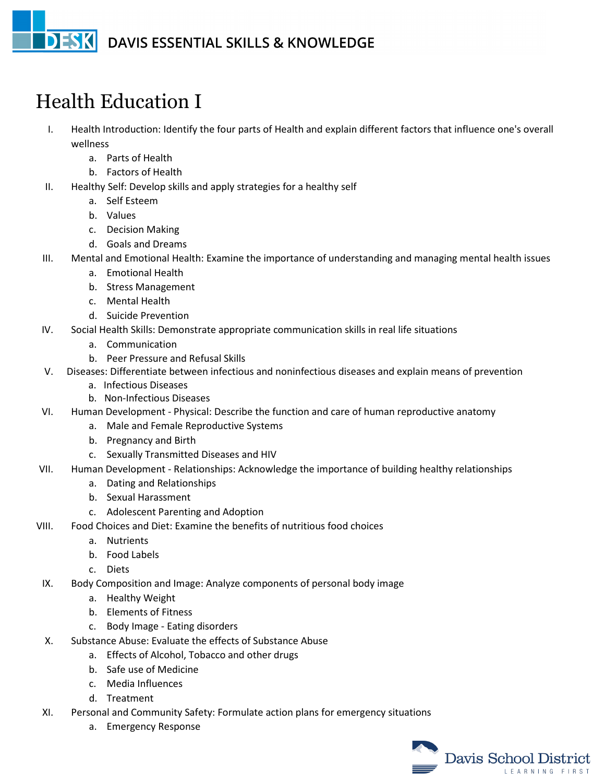## **DESK** DAVIS ESSENTIAL SKILLS & KNOWLEDGE

## Health Education I

- I. Health Introduction: Identify the four parts of Health and explain different factors that influence one's overall wellness
	- a. Parts of Health
	- b. Factors of Health
- II. Healthy Self: Develop skills and apply strategies for a healthy self
	- a. Self Esteem
	- b. Values
	- c. Decision Making
	- d. Goals and Dreams
- III. Mental and Emotional Health: Examine the importance of understanding and managing mental health issues
	- a. Emotional Health
	- b. Stress Management
	- c. Mental Health
	- d. Suicide Prevention
- IV. Social Health Skills: Demonstrate appropriate communication skills in real life situations
	- a. Communication
	- b. Peer Pressure and Refusal Skills
- V. Diseases: Differentiate between infectious and noninfectious diseases and explain means of prevention
	- a. Infectious Diseases
	- b. Non-Infectious Diseases
- VI. Human Development Physical: Describe the function and care of human reproductive anatomy
	- a. Male and Female Reproductive Systems
	- b. Pregnancy and Birth
	- c. Sexually Transmitted Diseases and HIV
- VII. Human Development Relationships: Acknowledge the importance of building healthy relationships
	- a. Dating and Relationships
	- b. Sexual Harassment
	- c. Adolescent Parenting and Adoption
- VIII. Food Choices and Diet: Examine the benefits of nutritious food choices
	- a. Nutrients
	- b. Food Labels
	- c. Diets
	- IX. Body Composition and Image: Analyze components of personal body image
		- a. Healthy Weight
		- b. Elements of Fitness
		- c. Body Image Eating disorders
	- X. Substance Abuse: Evaluate the effects of Substance Abuse
		- a. Effects of Alcohol, Tobacco and other drugs
		- b. Safe use of Medicine
		- c. Media Influences
		- d. Treatment
	- XI. Personal and Community Safety: Formulate action plans for emergency situations
		- a. Emergency Response